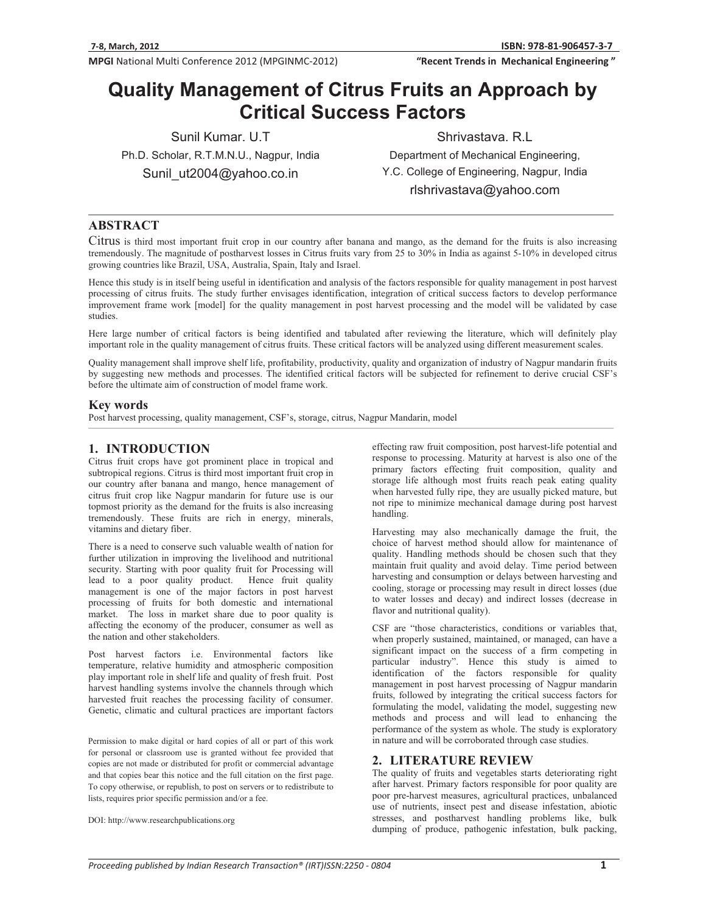"Recent Trends in Mechanical Engineering"

# **Quality Management of Citrus Fruits an Approach by Critical Success Factors**<br>Chris

Sunil Kumar. U.T Ph.D. Scholar, R.T.M.N.U., Nagpur, India Sunil\_ut2004@yahoo.co.in

Shrivastava. R.L Department of Mechanical Engineering, Y.C. College of Engineering, Nagpur, India rlshrivastava@yahoo.com

## **ABSTRACT**

Citrus is third most important fruit crop in our country after banana and mango, as the demand for the fruits is also increasing tremendously. The magnitude of postharvest losses in Citrus fruits vary from 25 to 30% in India as against 5-10% in developed citrus growing countries like Brazil, USA, Australia, Spain, Italy and Israel.

Hence this study is in itself being useful in identification and analysis of the factors responsible for quality management in post harvest processing of citrus fruits. The study further envisages identification, integration of critical success factors to develop performance improvement frame work [model] for the quality management in post harvest processing and the model will be validated by case studies.

Here large number of critical factors is being identified and tabulated after reviewing the literature, which will definitely play important role in the quality management of citrus fruits. These critical factors will be analyzed using different measurement scales.

Quality management shall improve shelf life, profitability, productivity, quality and organization of industry of Nagpur mandarin fruits by suggesting new methods and processes. The identified critical factors will be subjected for refinement to derive crucial CSF's before the ultimate aim of construction of model frame work.

### **Key words**

Post harvest processing, quality management, CSF's, storage, citrus, Nagpur Mandarin, model

## **1. INTRODUCTION**

Citrus fruit crops have got prominent place in tropical and subtropical regions. Citrus is third most important fruit crop in our country after banana and mango, hence management of citrus fruit crop like Nagpur mandarin for future use is our topmost priority as the demand for the fruits is also increasing tremendously. These fruits are rich in energy, minerals, vitamins and dietary fiber.

There is a need to conserve such valuable wealth of nation for further utilization in improving the livelihood and nutritional security. Starting with poor quality fruit for Processing will lead to a poor quality product. Hence fruit quality management is one of the major factors in post harvest processing of fruits for both domestic and international market. The loss in market share due to poor quality is affecting the economy of the producer, consumer as well as the nation and other stakeholders.

Post harvest factors i.e. Environmental factors like temperature, relative humidity and atmospheric composition play important role in shelf life and quality of fresh fruit. Post harvest handling systems involve the channels through which harvested fruit reaches the processing facility of consumer. Genetic, climatic and cultural practices are important factors

Permission to make digital or hard copies of all or part of this work for personal or classroom use is granted without fee provided that copies are not made or distributed for profit or commercial advantage and that copies bear this notice and the full citation on the first page. To copy otherwise, or republish, to post on servers or to redistribute to lists, requires prior specific permission and/or a fee.

DOI: http://www.researchpublications.org

effecting raw fruit composition, post harvest-life potential and response to processing. Maturity at harvest is also one of the primary factors effecting fruit composition, quality and storage life although most fruits reach peak eating quality when harvested fully ripe, they are usually picked mature, but not ripe to minimize mechanical damage during post harvest handling.

Harvesting may also mechanically damage the fruit, the choice of harvest method should allow for maintenance of quality. Handling methods should be chosen such that they maintain fruit quality and avoid delay. Time period between harvesting and consumption or delays between harvesting and cooling, storage or processing may result in direct losses (due to water losses and decay) and indirect losses (decrease in flavor and nutritional quality).

CSF are "those characteristics, conditions or variables that, when properly sustained, maintained, or managed, can have a significant impact on the success of a firm competing in particular industry". Hence this study is aimed to identification of the factors responsible for quality management in post harvest processing of Nagpur mandarin fruits, followed by integrating the critical success factors for formulating the model, validating the model, suggesting new methods and process and will lead to enhancing the performance of the system as whole. The study is exploratory in nature and will be corroborated through case studies.

#### **2. LITERATURE REVIEW**

The quality of fruits and vegetables starts deteriorating right after harvest. Primary factors responsible for poor quality are poor pre-harvest measures, agricultural practices, unbalanced use of nutrients, insect pest and disease infestation, abiotic stresses, and postharvest handling problems like, bulk dumping of produce, pathogenic infestation, bulk packing,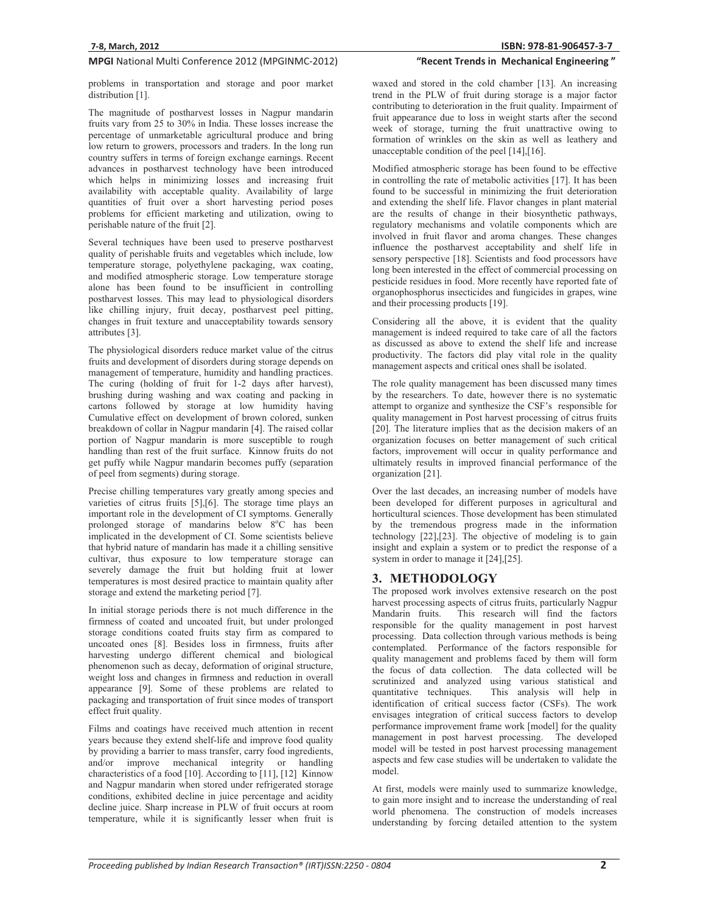## "Recent Trends in Mechanical Engineering"

problems in transportation and storage and poor market distribution [1].

The magnitude of postharvest losses in Nagpur mandarin fruits vary from 25 to 30% in India. These losses increase the percentage of unmarketable agricultural produce and bring low return to growers, processors and traders. In the long run country suffers in terms of foreign exchange earnings. Recent advances in postharvest technology have been introduced which helps in minimizing losses and increasing fruit availability with acceptable quality. Availability of large quantities of fruit over a short harvesting period poses problems for efficient marketing and utilization, owing to perishable nature of the fruit [2].

Several techniques have been used to preserve postharvest quality of perishable fruits and vegetables which include, low temperature storage, polyethylene packaging, wax coating, and modified atmospheric storage. Low temperature storage alone has been found to be insufficient in controlling postharvest losses. This may lead to physiological disorders like chilling injury, fruit decay, postharvest peel pitting, changes in fruit texture and unacceptability towards sensory attributes [3].

The physiological disorders reduce market value of the citrus fruits and development of disorders during storage depends on management of temperature, humidity and handling practices. The curing (holding of fruit for 1-2 days after harvest), brushing during washing and wax coating and packing in cartons followed by storage at low humidity having Cumulative effect on development of brown colored, sunken breakdown of collar in Nagpur mandarin [4]. The raised collar portion of Nagpur mandarin is more susceptible to rough handling than rest of the fruit surface. Kinnow fruits do not get puffy while Nagpur mandarin becomes puffy (separation of peel from segments) during storage.

Precise chilling temperatures vary greatly among species and varieties of citrus fruits [5],[6]. The storage time plays an important role in the development of CI symptoms. Generally prolonged storage of mandarins below 8°C has been implicated in the development of CI. Some scientists believe that hybrid nature of mandarin has made it a chilling sensitive cultivar, thus exposure to low temperature storage can severely damage the fruit but holding fruit at lower temperatures is most desired practice to maintain quality after storage and extend the marketing period [7].

In initial storage periods there is not much difference in the firmness of coated and uncoated fruit, but under prolonged storage conditions coated fruits stay firm as compared to uncoated ones [8]. Besides loss in firmness, fruits after harvesting undergo different chemical and biological phenomenon such as decay, deformation of original structure, weight loss and changes in firmness and reduction in overall appearance [9]. Some of these problems are related to packaging and transportation of fruit since modes of transport effect fruit quality.

Films and coatings have received much attention in recent years because they extend shelf-life and improve food quality by providing a barrier to mass transfer, carry food ingredients, and/or improve mechanical integrity or handling characteristics of a food [10]. According to [11], [12] Kinnow and Nagpur mandarin when stored under refrigerated storage conditions, exhibited decline in juice percentage and acidity decline juice. Sharp increase in PLW of fruit occurs at room temperature, while it is significantly lesser when fruit is

waxed and stored in the cold chamber [13]. An increasing trend in the PLW of fruit during storage is a major factor contributing to deterioration in the fruit quality. Impairment of fruit appearance due to loss in weight starts after the second week of storage, turning the fruit unattractive owing to formation of wrinkles on the skin as well as leathery and unacceptable condition of the peel [14],[16].

Modified atmospheric storage has been found to be effective in controlling the rate of metabolic activities [17]. It has been found to be successful in minimizing the fruit deterioration and extending the shelf life. Flavor changes in plant material are the results of change in their biosynthetic pathways, regulatory mechanisms and volatile components which are involved in fruit flavor and aroma changes. These changes influence the postharvest acceptability and shelf life in sensory perspective [18]. Scientists and food processors have long been interested in the effect of commercial processing on pesticide residues in food. More recently have reported fate of organophosphorus insecticides and fungicides in grapes, wine and their processing products [19].

Considering all the above, it is evident that the quality management is indeed required to take care of all the factors as discussed as above to extend the shelf life and increase productivity. The factors did play vital role in the quality management aspects and critical ones shall be isolated.

The role quality management has been discussed many times by the researchers. To date, however there is no systematic attempt to organize and synthesize the CSF's responsible for quality management in Post harvest processing of citrus fruits [20]. The literature implies that as the decision makers of an organization focuses on better management of such critical factors, improvement will occur in quality performance and ultimately results in improved financial performance of the organization [21].

Over the last decades, an increasing number of models have been developed for different purposes in agricultural and horticultural sciences. Those development has been stimulated by the tremendous progress made in the information technology [22],[23]. The objective of modeling is to gain insight and explain a system or to predict the response of a system in order to manage it [24],[25].

## **3. METHODOLOGY**

The proposed work involves extensive research on the post harvest processing aspects of citrus fruits, particularly Nagpur Mandarin fruits. This research will find the factors responsible for the quality management in post harvest processing. Data collection through various methods is being contemplated. Performance of the factors responsible for quality management and problems faced by them will form the focus of data collection. The data collected will be scrutinized and analyzed using various statistical and quantitative techniques. This analysis will help in This analysis will help in identification of critical success factor (CSFs). The work envisages integration of critical success factors to develop performance improvement frame work [model] for the quality management in post harvest processing. The developed model will be tested in post harvest processing management aspects and few case studies will be undertaken to validate the model.

At first, models were mainly used to summarize knowledge, to gain more insight and to increase the understanding of real world phenomena. The construction of models increases understanding by forcing detailed attention to the system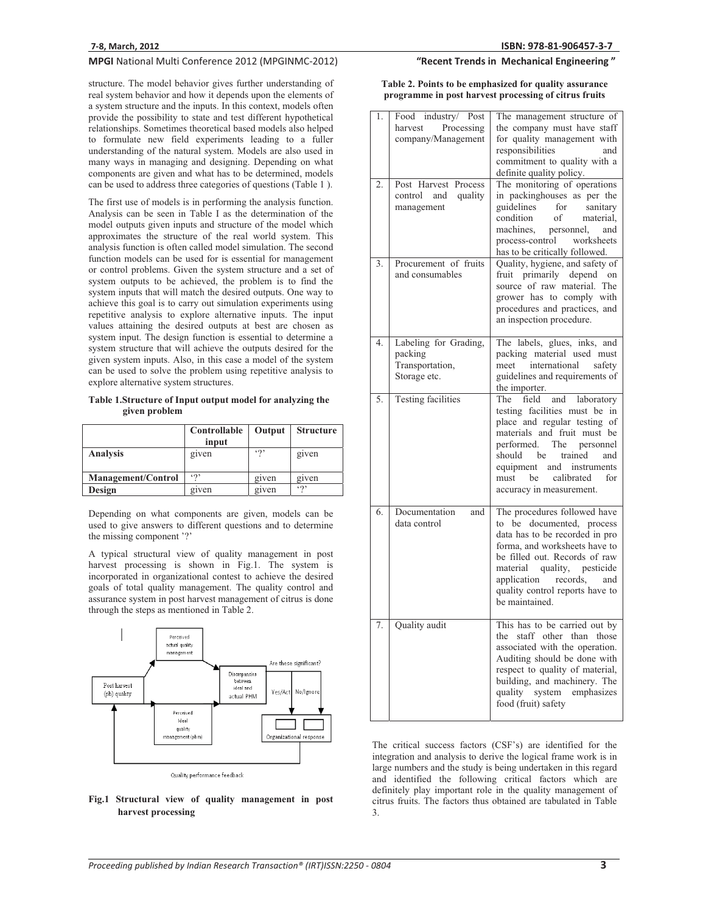structure. The model behavior gives further understanding of real system behavior and how it depends upon the elements of a system structure and the inputs. In this context, models often provide the possibility to state and test different hypothetical relationships. Sometimes theoretical based models also helped to formulate new field experiments leading to a fuller understanding of the natural system. Models are also used in many ways in managing and designing. Depending on what components are given and what has to be determined, models can be used to address three categories of questions (Table 1 ).

The first use of models is in performing the analysis function. Analysis can be seen in Table I as the determination of the model outputs given inputs and structure of the model which approximates the structure of the real world system. This analysis function is often called model simulation. The second function models can be used for is essential for management or control problems. Given the system structure and a set of system outputs to be achieved, the problem is to find the system inputs that will match the desired outputs. One way to achieve this goal is to carry out simulation experiments using repetitive analysis to explore alternative inputs. The input values attaining the desired outputs at best are chosen as system input. The design function is essential to determine a system structure that will achieve the outputs desired for the given system inputs. Also, in this case a model of the system can be used to solve the problem using repetitive analysis to explore alternative system structures.

**Table 1.Structure of Input output model for analyzing the given problem** 

|                           | Controllable<br>input | Output          | <b>Structure</b> |
|---------------------------|-----------------------|-----------------|------------------|
| <b>Analysis</b>           | given                 | $\mathfrak{so}$ | given            |
| <b>Management/Control</b> | 50                    | given           | given            |
| Design                    | given                 | given           | 50               |

Depending on what components are given, models can be used to give answers to different questions and to determine the missing component '?'

A typical structural view of quality management in post harvest processing is shown in Fig.1. The system is incorporated in organizational contest to achieve the desired goals of total quality management. The quality control and assurance system in post harvest management of citrus is done through the steps as mentioned in Table 2.



#### **Fig.1 Structural view of quality management in post harvest processing**

## "Recent Trends in Mechanical Engineering"

**Table 2. Points to be emphasized for quality assurance programme in post harvest processing of citrus fruits** 

| 1. | Food industry/ Post<br>Processing<br>harvest<br>company/Management  | The management structure of<br>the company must have staff<br>for quality management with<br>responsibilities<br>and                                                                                                                                                                  |
|----|---------------------------------------------------------------------|---------------------------------------------------------------------------------------------------------------------------------------------------------------------------------------------------------------------------------------------------------------------------------------|
| 2. | Post Harvest Process<br>control and quality<br>management           | commitment to quality with a<br>definite quality policy.<br>The monitoring of operations<br>in packinghouses as per the<br>guidelines for<br>sanitary<br>condition<br>of<br>material,<br>machines, personnel,<br>and                                                                  |
|    |                                                                     | process-control<br>worksheets<br>has to be critically followed.                                                                                                                                                                                                                       |
| 3. | Procurement of fruits<br>and consumables                            | Quality, hygiene, and safety of<br>fruit primarily depend on<br>source of raw material. The<br>grower has to comply with<br>procedures and practices, and<br>an inspection procedure.                                                                                                 |
| 4. | Labeling for Grading,<br>packing<br>Transportation,<br>Storage etc. | The labels, glues, inks, and<br>packing material used must<br>meet international safety<br>guidelines and requirements of<br>the importer.                                                                                                                                            |
| 5. | Testing facilities                                                  | field<br>and laboratory<br>The<br>testing facilities must be in<br>place and regular testing of<br>materials and fruit must be<br>performed. The personnel<br>should<br>be<br>trained<br>and<br>equipment and instruments<br>must be<br>calibrated<br>for<br>accuracy in measurement. |
| 6. | Documentation<br>and<br>data control                                | The procedures followed have<br>to be documented, process<br>data has to be recorded in pro<br>forma, and worksheets have to<br>be filled out. Records of raw<br>material quality, pesticide<br>application records, and<br>quality control reports have to<br>be maintained.         |
| 7. | Quality audit                                                       | This has to be carried out by<br>staff other than those<br>the<br>associated with the operation.<br>Auditing should be done with<br>respect to quality of material,<br>building, and machinery. The<br>quality system emphasizes<br>food (fruit) safety                               |

The critical success factors (CSF's) are identified for the integration and analysis to derive the logical frame work is in large numbers and the study is being undertaken in this regard and identified the following critical factors which are definitely play important role in the quality management of citrus fruits. The factors thus obtained are tabulated in Table 3.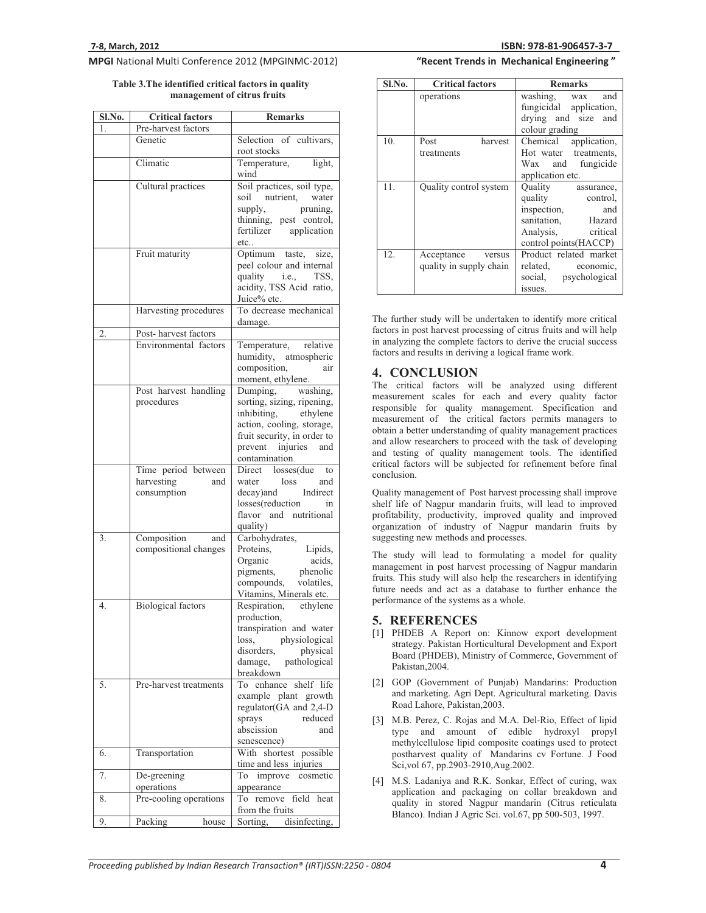**Table 3.The identified critical factors in quality management of citrus fruits** 

| <b>SI.No.</b> | <b>Critical factors</b>   | Remarks                                                   |
|---------------|---------------------------|-----------------------------------------------------------|
| 1.            | Pre-harvest factors       |                                                           |
|               | Genetic                   | Selection of cultivars,<br>root stocks                    |
|               | Climatic                  | Temperature,<br>light,<br>wind                            |
|               | Cultural practices        | Soil practices, soil type,                                |
|               |                           | soil nutrient, water<br>supply,<br>pruning,               |
|               |                           | thinning, pest control,                                   |
|               |                           | fertilizer application<br>etc                             |
|               | Fruit maturity            | Optimum taste,<br>size,                                   |
|               |                           | peel colour and internal<br>quality <i>i.e.</i> ,<br>TSS. |
|               |                           | acidity, TSS Acid ratio,<br>Juice% etc.                   |
|               | Harvesting procedures     | To decrease mechanical                                    |
|               | Post-harvest factors      | damage.                                                   |
| 2.            |                           |                                                           |
|               | Environmental factors     | relative<br>Temperature,<br>humidity,                     |
|               |                           | atmospheric<br>composition,<br>air                        |
|               |                           | moment, ethylene.                                         |
|               | Post harvest handling     | Dumping, washing,                                         |
|               | procedures                | sorting, sizing, ripening,                                |
|               |                           | inhibiting, ethylene                                      |
|               |                           | action, cooling, storage,                                 |
|               |                           | fruit security, in order to                               |
|               |                           | prevent injuries<br>and<br>contamination                  |
|               | Time period between       | Direct losses(due to                                      |
|               | harvesting<br>and         | loss<br>water<br>and                                      |
|               | consumption               | Indirect<br>decay)and                                     |
|               |                           | losses(reduction<br>in                                    |
|               |                           | flavor and nutritional<br>quality)                        |
| 3.            | Composition<br>and        | Carbohydrates,                                            |
|               | compositional changes     | Proteins,<br>Lipids,                                      |
|               |                           | acids,<br>Organic                                         |
|               |                           | pigments, phenolic                                        |
|               |                           | compounds, volatiles,<br>Vitamins, Minerals etc.          |
| 4.            | <b>Biological factors</b> | ethylene<br>Respiration,                                  |
|               |                           | production,                                               |
|               |                           | transpiration and water                                   |
|               |                           | physiological<br>loss,                                    |
|               |                           | disorders,<br>physical                                    |
|               |                           | pathological<br>damage,                                   |
| 5.            | Pre-harvest treatments    | breakdown<br>To enhance<br>life<br>shelf                  |
|               |                           | example plant growth                                      |
|               |                           | regulator(GA and 2,4-D                                    |
|               |                           | sprays<br>reduced                                         |
|               |                           | abscission<br>and                                         |
|               |                           | senescence)                                               |
| 6.            | Transportation            | With shortest possible<br>time and less injuries          |
| 7.            | De-greening               | improve<br>cosmetic<br>To                                 |
|               | operations                | appearance                                                |
| 8.            | Pre-cooling operations    | To remove field<br>heat                                   |
|               |                           | from the fruits                                           |
| 9.            | Packing<br>house          | Sorting, disinfecting,                                    |

## "Recent Trends in Mechanical Engineering"

| Sl.No. | <b>Critical factors</b>                      | <b>Remarks</b>                                                                                                                  |
|--------|----------------------------------------------|---------------------------------------------------------------------------------------------------------------------------------|
|        | operations                                   | washing, wax and<br>fungicidal application,<br>drying and size and<br>colour grading                                            |
| 10.    | harvest<br>Post<br>treatments                | Chemical application,<br>Hot water treatments,<br>Wax and fungicide<br>application etc.                                         |
| 11.    | Quality control system                       | Ouality assurance,<br>quality control,<br>inspection, and<br>sanitation, Hazard<br>Analysis, critical<br>control points (HACCP) |
| 12.    | Acceptance versus<br>quality in supply chain | Product related market<br>related, economic,<br>social, psychological<br>issues.                                                |

The further study will be undertaken to identify more critical factors in post harvest processing of citrus fruits and will help in analyzing the complete factors to derive the crucial success factors and results in deriving a logical frame work.

#### **4. CONCLUSION**

The critical factors will be analyzed using different measurement scales for each and every quality factor responsible for quality management. Specification and measurement of the critical factors permits managers to obtain a better understanding of quality management practices and allow researchers to proceed with the task of developing and testing of quality management tools. The identified critical factors will be subjected for refinement before final conclusion.

Quality management of Post harvest processing shall improve shelf life of Nagpur mandarin fruits, will lead to improved profitability, productivity, improved quality and improved organization of industry of Nagpur mandarin fruits by suggesting new methods and processes.

The study will lead to formulating a model for quality management in post harvest processing of Nagpur mandarin fruits. This study will also help the researchers in identifying future needs and act as a database to further enhance the performance of the systems as a whole.

#### **5. REFERENCES**

- [1] PHDEB A Report on: Kinnow export development strategy. Pakistan Horticultural Development and Export Board (PHDEB), Ministry of Commerce, Government of Pakistan,2004.
- [2] GOP (Government of Punjab) Mandarins: Production and marketing. Agri Dept. Agricultural marketing. Davis Road Lahore, Pakistan,2003.
- [3] M.B. Perez, C. Rojas and M.A. Del-Rio, Effect of lipid type and amount of edible hydroxyl propyl methylcellulose lipid composite coatings used to protect postharvest quality of Mandarins cv Fortune. J Food Sci,vol 67, pp.2903-2910,Aug.2002.
- [4] M.S. Ladaniya and R.K. Sonkar, Effect of curing, wax application and packaging on collar breakdown and quality in stored Nagpur mandarin (Citrus reticulata Blanco). Indian J Agric Sci. vol.67, pp 500-503, 1997.